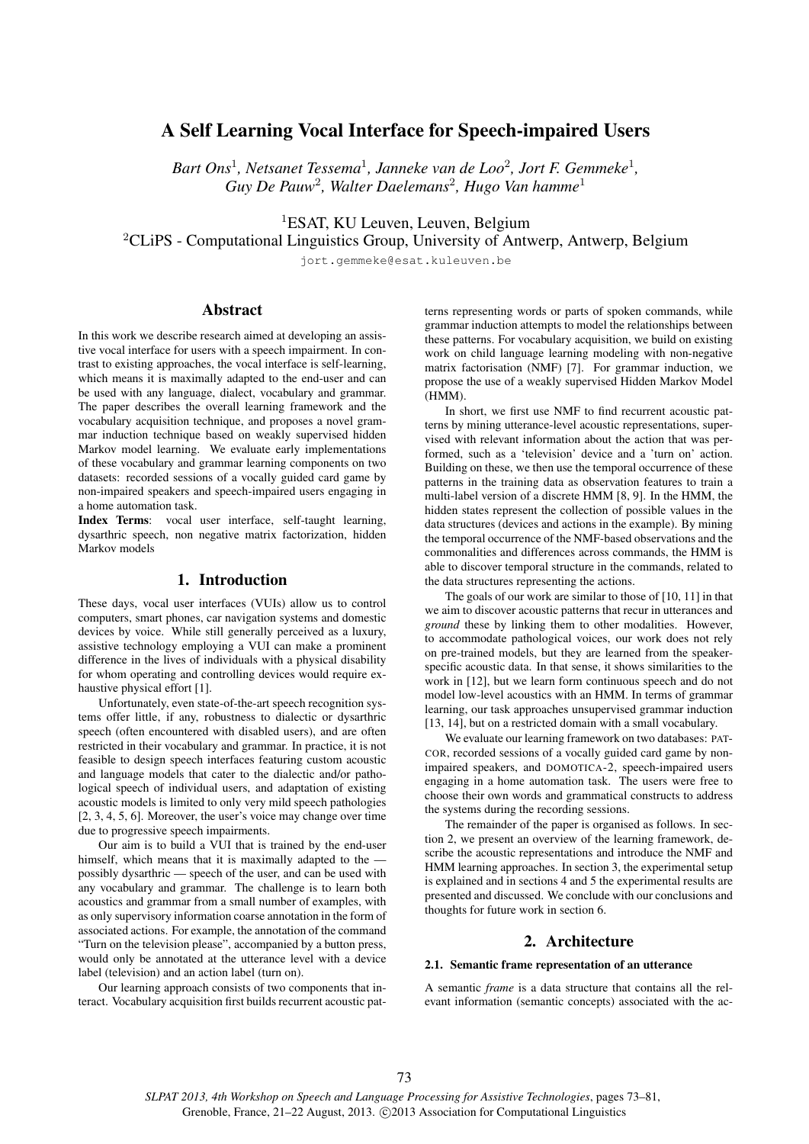# A Self Learning Vocal Interface for Speech-impaired Users

Bart Ons<sup>1</sup>, Netsanet Tessema<sup>1</sup>, Janneke van de Loo<sup>2</sup>, Jort F. Gemmeke<sup>1</sup>, *Guy De Pauw*<sup>2</sup> *, Walter Daelemans*<sup>2</sup> *, Hugo Van hamme*<sup>1</sup>

<sup>1</sup>ESAT, KU Leuven, Leuven, Belgium

 ${}^{2}$ CLiPS - Computational Linguistics Group, University of Antwerp, Antwerp, Belgium

jort.gemmeke@esat.kuleuven.be

## Abstract

In this work we describe research aimed at developing an assistive vocal interface for users with a speech impairment. In contrast to existing approaches, the vocal interface is self-learning, which means it is maximally adapted to the end-user and can be used with any language, dialect, vocabulary and grammar. The paper describes the overall learning framework and the vocabulary acquisition technique, and proposes a novel grammar induction technique based on weakly supervised hidden Markov model learning. We evaluate early implementations of these vocabulary and grammar learning components on two datasets: recorded sessions of a vocally guided card game by non-impaired speakers and speech-impaired users engaging in a home automation task.

Index Terms: vocal user interface, self-taught learning, dysarthric speech, non negative matrix factorization, hidden Markov models

## 1. Introduction

These days, vocal user interfaces (VUIs) allow us to control computers, smart phones, car navigation systems and domestic devices by voice. While still generally perceived as a luxury, assistive technology employing a VUI can make a prominent difference in the lives of individuals with a physical disability for whom operating and controlling devices would require exhaustive physical effort [1].

Unfortunately, even state-of-the-art speech recognition systems offer little, if any, robustness to dialectic or dysarthric speech (often encountered with disabled users), and are often restricted in their vocabulary and grammar. In practice, it is not feasible to design speech interfaces featuring custom acoustic and language models that cater to the dialectic and/or pathological speech of individual users, and adaptation of existing acoustic models is limited to only very mild speech pathologies [2, 3, 4, 5, 6]. Moreover, the user's voice may change over time due to progressive speech impairments.

Our aim is to build a VUI that is trained by the end-user himself, which means that it is maximally adapted to the possibly dysarthric — speech of the user, and can be used with any vocabulary and grammar. The challenge is to learn both acoustics and grammar from a small number of examples, with as only supervisory information coarse annotation in the form of associated actions. For example, the annotation of the command "Turn on the television please", accompanied by a button press, would only be annotated at the utterance level with a device label (television) and an action label (turn on).

Our learning approach consists of two components that interact. Vocabulary acquisition first builds recurrent acoustic patterns representing words or parts of spoken commands, while grammar induction attempts to model the relationships between these patterns. For vocabulary acquisition, we build on existing work on child language learning modeling with non-negative matrix factorisation (NMF) [7]. For grammar induction, we propose the use of a weakly supervised Hidden Markov Model (HMM).

In short, we first use NMF to find recurrent acoustic patterns by mining utterance-level acoustic representations, supervised with relevant information about the action that was performed, such as a 'television' device and a 'turn on' action. Building on these, we then use the temporal occurrence of these patterns in the training data as observation features to train a multi-label version of a discrete HMM [8, 9]. In the HMM, the hidden states represent the collection of possible values in the data structures (devices and actions in the example). By mining the temporal occurrence of the NMF-based observations and the commonalities and differences across commands, the HMM is able to discover temporal structure in the commands, related to the data structures representing the actions.

The goals of our work are similar to those of [10, 11] in that we aim to discover acoustic patterns that recur in utterances and *ground* these by linking them to other modalities. However, to accommodate pathological voices, our work does not rely on pre-trained models, but they are learned from the speakerspecific acoustic data. In that sense, it shows similarities to the work in [12], but we learn form continuous speech and do not model low-level acoustics with an HMM. In terms of grammar learning, our task approaches unsupervised grammar induction [13, 14], but on a restricted domain with a small vocabulary.

We evaluate our learning framework on two databases: PAT-COR, recorded sessions of a vocally guided card game by nonimpaired speakers, and DOMOTICA-2, speech-impaired users engaging in a home automation task. The users were free to choose their own words and grammatical constructs to address the systems during the recording sessions.

The remainder of the paper is organised as follows. In section 2, we present an overview of the learning framework, describe the acoustic representations and introduce the NMF and HMM learning approaches. In section 3, the experimental setup is explained and in sections 4 and 5 the experimental results are presented and discussed. We conclude with our conclusions and thoughts for future work in section 6.

## 2. Architecture

## 2.1. Semantic frame representation of an utterance

A semantic *frame* is a data structure that contains all the relevant information (semantic concepts) associated with the ac-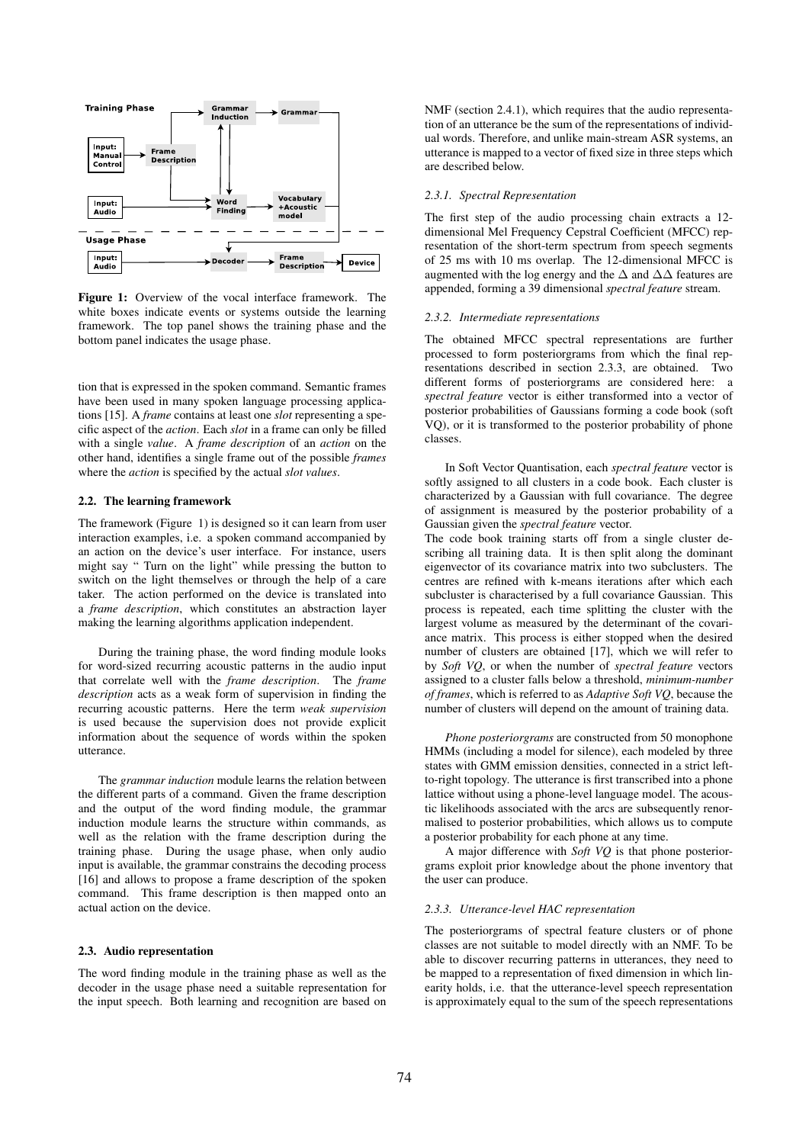

Figure 1: Overview of the vocal interface framework. The white boxes indicate events or systems outside the learning framework. The top panel shows the training phase and the bottom panel indicates the usage phase.

tion that is expressed in the spoken command. Semantic frames have been used in many spoken language processing applications [15]. A *frame* contains at least one *slot* representing a specific aspect of the *action*. Each *slot* in a frame can only be filled with a single *value*. A *frame description* of an *action* on the other hand, identifies a single frame out of the possible *frames* where the *action* is specified by the actual *slot values*.

### 2.2. The learning framework

The framework (Figure 1) is designed so it can learn from user interaction examples, i.e. a spoken command accompanied by an action on the device's user interface. For instance, users might say " Turn on the light" while pressing the button to switch on the light themselves or through the help of a care taker. The action performed on the device is translated into a *frame description*, which constitutes an abstraction layer making the learning algorithms application independent.

During the training phase, the word finding module looks for word-sized recurring acoustic patterns in the audio input that correlate well with the *frame description*. The *frame description* acts as a weak form of supervision in finding the recurring acoustic patterns. Here the term *weak supervision* is used because the supervision does not provide explicit information about the sequence of words within the spoken utterance.

The *grammar induction* module learns the relation between the different parts of a command. Given the frame description and the output of the word finding module, the grammar induction module learns the structure within commands, as well as the relation with the frame description during the training phase. During the usage phase, when only audio input is available, the grammar constrains the decoding process [16] and allows to propose a frame description of the spoken command. This frame description is then mapped onto an actual action on the device.

## 2.3. Audio representation

The word finding module in the training phase as well as the decoder in the usage phase need a suitable representation for the input speech. Both learning and recognition are based on NMF (section 2.4.1), which requires that the audio representation of an utterance be the sum of the representations of individual words. Therefore, and unlike main-stream ASR systems, an utterance is mapped to a vector of fixed size in three steps which are described below.

## *2.3.1. Spectral Representation*

The first step of the audio processing chain extracts a 12 dimensional Mel Frequency Cepstral Coefficient (MFCC) representation of the short-term spectrum from speech segments of 25 ms with 10 ms overlap. The 12-dimensional MFCC is augmented with the log energy and the  $\Delta$  and  $\Delta\Delta$  features are appended, forming a 39 dimensional *spectral feature* stream.

#### *2.3.2. Intermediate representations*

The obtained MFCC spectral representations are further processed to form posteriorgrams from which the final representations described in section 2.3.3, are obtained. Two different forms of posteriorgrams are considered here: a *spectral feature* vector is either transformed into a vector of posterior probabilities of Gaussians forming a code book (soft VQ), or it is transformed to the posterior probability of phone classes.

In Soft Vector Quantisation, each *spectral feature* vector is softly assigned to all clusters in a code book. Each cluster is characterized by a Gaussian with full covariance. The degree of assignment is measured by the posterior probability of a Gaussian given the *spectral feature* vector.

The code book training starts off from a single cluster describing all training data. It is then split along the dominant eigenvector of its covariance matrix into two subclusters. The centres are refined with k-means iterations after which each subcluster is characterised by a full covariance Gaussian. This process is repeated, each time splitting the cluster with the largest volume as measured by the determinant of the covariance matrix. This process is either stopped when the desired number of clusters are obtained [17], which we will refer to by *Soft VQ*, or when the number of *spectral feature* vectors assigned to a cluster falls below a threshold, *minimum-number of frames*, which is referred to as *Adaptive Soft VQ*, because the number of clusters will depend on the amount of training data.

*Phone posteriorgrams* are constructed from 50 monophone HMMs (including a model for silence), each modeled by three states with GMM emission densities, connected in a strict leftto-right topology. The utterance is first transcribed into a phone lattice without using a phone-level language model. The acoustic likelihoods associated with the arcs are subsequently renormalised to posterior probabilities, which allows us to compute a posterior probability for each phone at any time.

A major difference with *Soft VQ* is that phone posteriorgrams exploit prior knowledge about the phone inventory that the user can produce.

#### *2.3.3. Utterance-level HAC representation*

The posteriorgrams of spectral feature clusters or of phone classes are not suitable to model directly with an NMF. To be able to discover recurring patterns in utterances, they need to be mapped to a representation of fixed dimension in which linearity holds, i.e. that the utterance-level speech representation is approximately equal to the sum of the speech representations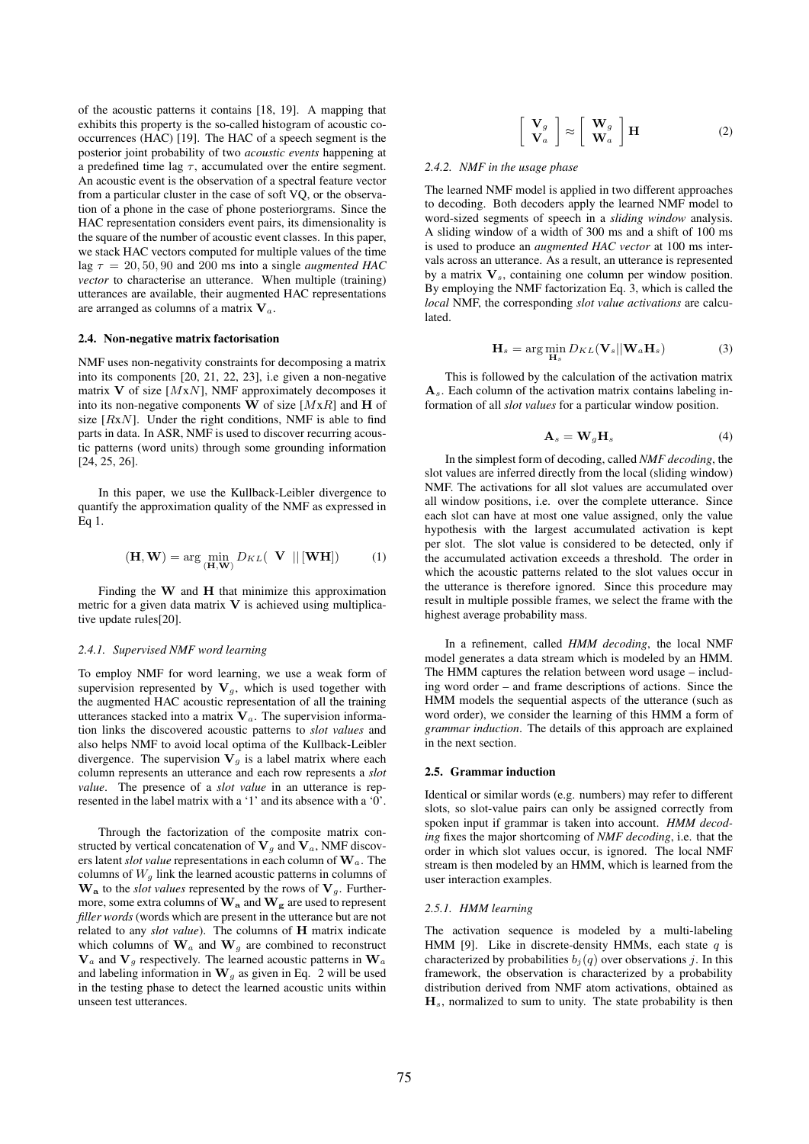of the acoustic patterns it contains [18, 19]. A mapping that exhibits this property is the so-called histogram of acoustic cooccurrences (HAC) [19]. The HAC of a speech segment is the posterior joint probability of two *acoustic events* happening at a predefined time lag  $\tau$ , accumulated over the entire segment. An acoustic event is the observation of a spectral feature vector from a particular cluster in the case of soft VQ, or the observation of a phone in the case of phone posteriorgrams. Since the HAC representation considers event pairs, its dimensionality is the square of the number of acoustic event classes. In this paper, we stack HAC vectors computed for multiple values of the time lag  $\tau = 20, 50, 90$  and 200 ms into a single *augmented HAC vector* to characterise an utterance. When multiple (training) utterances are available, their augmented HAC representations are arranged as columns of a matrix  $V_a$ .

### 2.4. Non-negative matrix factorisation

NMF uses non-negativity constraints for decomposing a matrix into its components [20, 21, 22, 23], i.e given a non-negative matrix  $V$  of size [ $MxN$ ], NMF approximately decomposes it into its non-negative components W of size  $[MxR]$  and H of size  $[RxN]$ . Under the right conditions, NMF is able to find parts in data. In ASR, NMF is used to discover recurring acoustic patterns (word units) through some grounding information [24, 25, 26].

In this paper, we use the Kullback-Leibler divergence to quantify the approximation quality of the NMF as expressed in Eq 1.

$$
(\mathbf{H}, \mathbf{W}) = \arg \min_{(\mathbf{H}, \mathbf{W})} D_{KL}(\mathbf{V} \parallel [\mathbf{W} \mathbf{H}])
$$
 (1)

Finding the  $W$  and  $H$  that minimize this approximation metric for a given data matrix  $V$  is achieved using multiplicative update rules[20].

#### *2.4.1. Supervised NMF word learning*

To employ NMF for word learning, we use a weak form of supervision represented by  $V_g$ , which is used together with the augmented HAC acoustic representation of all the training utterances stacked into a matrix  $V_a$ . The supervision information links the discovered acoustic patterns to *slot values* and also helps NMF to avoid local optima of the Kullback-Leibler divergence. The supervision  $V_g$  is a label matrix where each column represents an utterance and each row represents a *slot value*. The presence of a *slot value* in an utterance is represented in the label matrix with a '1' and its absence with a ' $\overline{0}$ '.

Through the factorization of the composite matrix constructed by vertical concatenation of  $V_g$  and  $V_a$ , NMF discovers latent *slot value* representations in each column of Wa. The columns of  $W<sub>g</sub>$  link the learned acoustic patterns in columns of  $\mathbf{W}_a$  to the *slot values* represented by the rows of  $\mathbf{V}_a$ . Furthermore, some extra columns of  $W_a$  and  $W_g$  are used to represent *filler words* (words which are present in the utterance but are not related to any *slot value*). The columns of H matrix indicate which columns of  $\mathbf{W}_a$  and  $\mathbf{W}_q$  are combined to reconstruct  $V_a$  and  $V_g$  respectively. The learned acoustic patterns in  $W_a$ and labeling information in  $W_q$  as given in Eq. 2 will be used in the testing phase to detect the learned acoustic units within unseen test utterances.

$$
\left[\begin{array}{c} \mathbf{V}_g \\ \mathbf{V}_a \end{array}\right] \approx \left[\begin{array}{c} \mathbf{W}_g \\ \mathbf{W}_a \end{array}\right] \mathbf{H} \tag{2}
$$

#### *2.4.2. NMF in the usage phase*

The learned NMF model is applied in two different approaches to decoding. Both decoders apply the learned NMF model to word-sized segments of speech in a *sliding window* analysis. A sliding window of a width of 300 ms and a shift of 100 ms is used to produce an *augmented HAC vector* at 100 ms intervals across an utterance. As a result, an utterance is represented by a matrix  $V_s$ , containing one column per window position. By employing the NMF factorization Eq. 3, which is called the *local* NMF, the corresponding *slot value activations* are calculated.

$$
\mathbf{H}_s = \arg\min_{\mathbf{H}_s} D_{KL}(\mathbf{V}_s || \mathbf{W}_a \mathbf{H}_s)
$$
(3)

This is followed by the calculation of the activation matrix  $A_s$ . Each column of the activation matrix contains labeling information of all *slot values* for a particular window position.

$$
\mathbf{A}_s = \mathbf{W}_g \mathbf{H}_s \tag{4}
$$

In the simplest form of decoding, called *NMF decoding*, the slot values are inferred directly from the local (sliding window) NMF. The activations for all slot values are accumulated over all window positions, i.e. over the complete utterance. Since each slot can have at most one value assigned, only the value hypothesis with the largest accumulated activation is kept per slot. The slot value is considered to be detected, only if the accumulated activation exceeds a threshold. The order in which the acoustic patterns related to the slot values occur in the utterance is therefore ignored. Since this procedure may result in multiple possible frames, we select the frame with the highest average probability mass.

In a refinement, called *HMM decoding*, the local NMF model generates a data stream which is modeled by an HMM. The HMM captures the relation between word usage – including word order – and frame descriptions of actions. Since the HMM models the sequential aspects of the utterance (such as word order), we consider the learning of this HMM a form of *grammar induction*. The details of this approach are explained in the next section.

#### 2.5. Grammar induction

Identical or similar words (e.g. numbers) may refer to different slots, so slot-value pairs can only be assigned correctly from spoken input if grammar is taken into account. *HMM decoding* fixes the major shortcoming of *NMF decoding*, i.e. that the order in which slot values occur, is ignored. The local NMF stream is then modeled by an HMM, which is learned from the user interaction examples.

#### *2.5.1. HMM learning*

The activation sequence is modeled by a multi-labeling HMM [9]. Like in discrete-density HMMs, each state  $q$  is characterized by probabilities  $b_i(q)$  over observations j. In this framework, the observation is characterized by a probability distribution derived from NMF atom activations, obtained as  $H_s$ , normalized to sum to unity. The state probability is then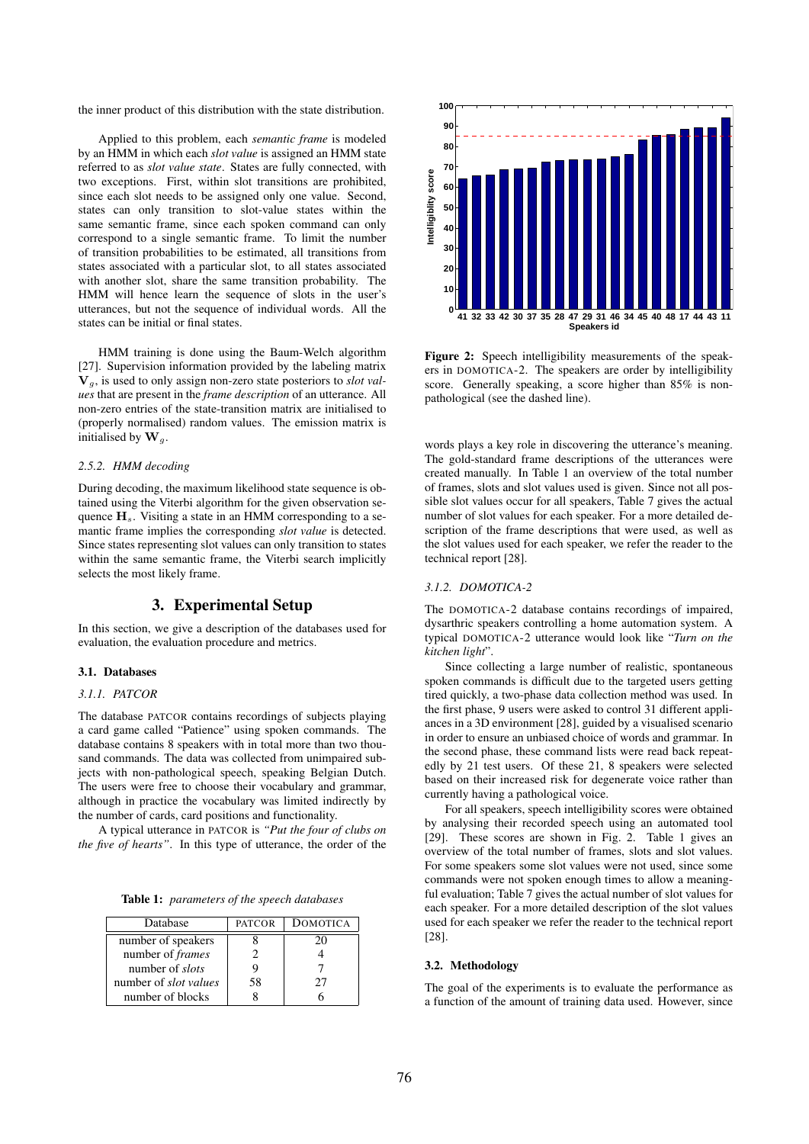the inner product of this distribution with the state distribution.

Applied to this problem, each *semantic frame* is modeled by an HMM in which each *slot value* is assigned an HMM state referred to as *slot value state*. States are fully connected, with two exceptions. First, within slot transitions are prohibited, since each slot needs to be assigned only one value. Second, states can only transition to slot-value states within the same semantic frame, since each spoken command can only correspond to a single semantic frame. To limit the number of transition probabilities to be estimated, all transitions from states associated with a particular slot, to all states associated with another slot, share the same transition probability. The HMM will hence learn the sequence of slots in the user's utterances, but not the sequence of individual words. All the states can be initial or final states.

HMM training is done using the Baum-Welch algorithm [27]. Supervision information provided by the labeling matrix Vg, is used to only assign non-zero state posteriors to *slot values* that are present in the *frame description* of an utterance. All non-zero entries of the state-transition matrix are initialised to (properly normalised) random values. The emission matrix is initialised by  $\mathbf{W}_g$ .

## *2.5.2. HMM decoding*

During decoding, the maximum likelihood state sequence is obtained using the Viterbi algorithm for the given observation sequence  $H_s$ . Visiting a state in an HMM corresponding to a semantic frame implies the corresponding *slot value* is detected. Since states representing slot values can only transition to states within the same semantic frame, the Viterbi search implicitly selects the most likely frame.

## 3. Experimental Setup

In this section, we give a description of the databases used for evaluation, the evaluation procedure and metrics.

#### 3.1. Databases

## *3.1.1. PATCOR*

The database PATCOR contains recordings of subjects playing a card game called "Patience" using spoken commands. The database contains 8 speakers with in total more than two thousand commands. The data was collected from unimpaired subjects with non-pathological speech, speaking Belgian Dutch. The users were free to choose their vocabulary and grammar, although in practice the vocabulary was limited indirectly by the number of cards, card positions and functionality.

A typical utterance in PATCOR is *"Put the four of clubs on the five of hearts"*. In this type of utterance, the order of the

Table 1: *parameters of the speech databases*

| Database                     | <b>PATCOR</b> | DOMOTICA |
|------------------------------|---------------|----------|
| number of speakers           |               |          |
| number of <i>frames</i>      |               |          |
| number of <i>slots</i>       |               |          |
| number of <i>slot values</i> | 58            | 27       |
| number of blocks             |               |          |



Figure 2: Speech intelligibility measurements of the speakers in DOMOTICA-2. The speakers are order by intelligibility score. Generally speaking, a score higher than 85% is nonpathological (see the dashed line).

words plays a key role in discovering the utterance's meaning. The gold-standard frame descriptions of the utterances were created manually. In Table 1 an overview of the total number of frames, slots and slot values used is given. Since not all possible slot values occur for all speakers, Table 7 gives the actual number of slot values for each speaker. For a more detailed description of the frame descriptions that were used, as well as the slot values used for each speaker, we refer the reader to the technical report [28].

## *3.1.2. DOMOTICA-2*

The DOMOTICA-2 database contains recordings of impaired, dysarthric speakers controlling a home automation system. A typical DOMOTICA-2 utterance would look like "*Turn on the kitchen light*".

Since collecting a large number of realistic, spontaneous spoken commands is difficult due to the targeted users getting tired quickly, a two-phase data collection method was used. In the first phase, 9 users were asked to control 31 different appliances in a 3D environment [28], guided by a visualised scenario in order to ensure an unbiased choice of words and grammar. In the second phase, these command lists were read back repeatedly by 21 test users. Of these 21, 8 speakers were selected based on their increased risk for degenerate voice rather than currently having a pathological voice.

For all speakers, speech intelligibility scores were obtained by analysing their recorded speech using an automated tool [29]. These scores are shown in Fig. 2. Table 1 gives an overview of the total number of frames, slots and slot values. For some speakers some slot values were not used, since some commands were not spoken enough times to allow a meaningful evaluation; Table 7 gives the actual number of slot values for each speaker. For a more detailed description of the slot values used for each speaker we refer the reader to the technical report [28].

### 3.2. Methodology

The goal of the experiments is to evaluate the performance as a function of the amount of training data used. However, since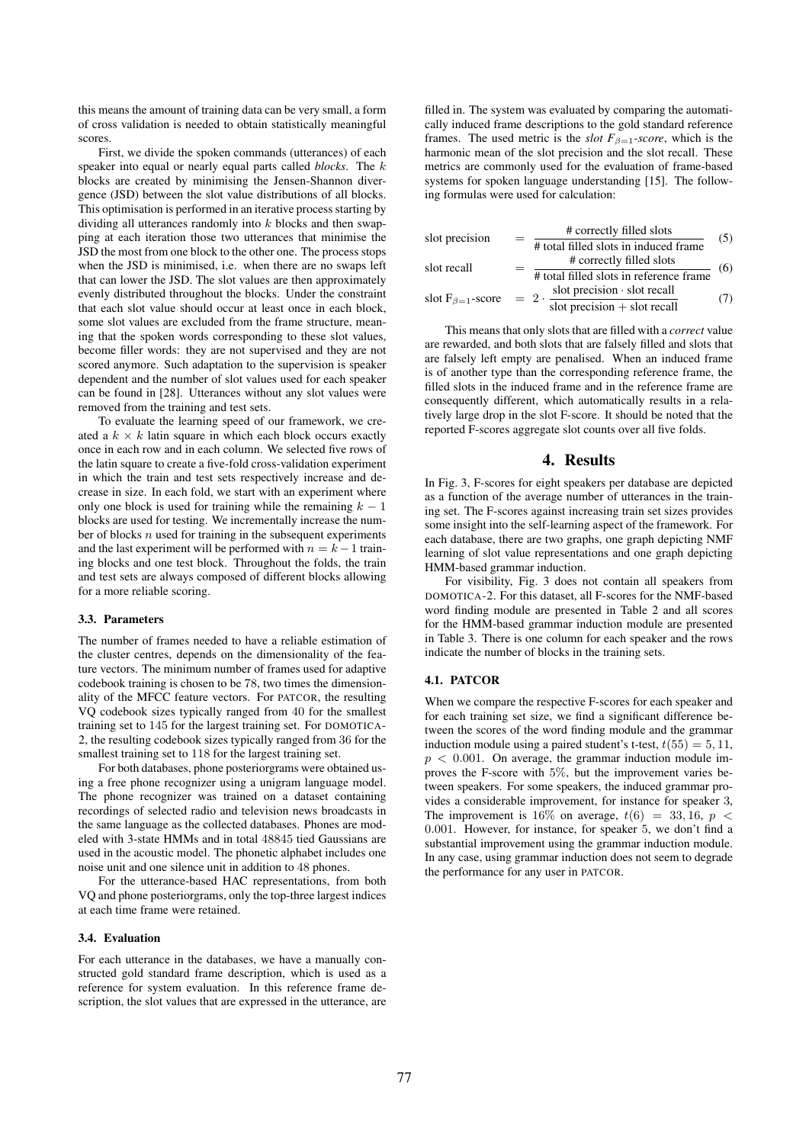this means the amount of training data can be very small, a form of cross validation is needed to obtain statistically meaningful scores.

First, we divide the spoken commands (utterances) of each speaker into equal or nearly equal parts called *blocks*. The k blocks are created by minimising the Jensen-Shannon divergence (JSD) between the slot value distributions of all blocks. This optimisation is performed in an iterative process starting by dividing all utterances randomly into  $k$  blocks and then swapping at each iteration those two utterances that minimise the JSD the most from one block to the other one. The process stops when the JSD is minimised, i.e. when there are no swaps left that can lower the JSD. The slot values are then approximately evenly distributed throughout the blocks. Under the constraint that each slot value should occur at least once in each block, some slot values are excluded from the frame structure, meaning that the spoken words corresponding to these slot values, become filler words: they are not supervised and they are not scored anymore. Such adaptation to the supervision is speaker dependent and the number of slot values used for each speaker can be found in [28]. Utterances without any slot values were removed from the training and test sets.

To evaluate the learning speed of our framework, we created a  $k \times k$  latin square in which each block occurs exactly once in each row and in each column. We selected five rows of the latin square to create a five-fold cross-validation experiment in which the train and test sets respectively increase and decrease in size. In each fold, we start with an experiment where only one block is used for training while the remaining  $k - 1$ blocks are used for testing. We incrementally increase the number of blocks  $n$  used for training in the subsequent experiments and the last experiment will be performed with  $n = k-1$  training blocks and one test block. Throughout the folds, the train and test sets are always composed of different blocks allowing for a more reliable scoring.

### 3.3. Parameters

The number of frames needed to have a reliable estimation of the cluster centres, depends on the dimensionality of the feature vectors. The minimum number of frames used for adaptive codebook training is chosen to be 78, two times the dimensionality of the MFCC feature vectors. For PATCOR, the resulting VQ codebook sizes typically ranged from 40 for the smallest training set to 145 for the largest training set. For DOMOTICA-2, the resulting codebook sizes typically ranged from 36 for the smallest training set to 118 for the largest training set.

For both databases, phone posteriorgrams were obtained using a free phone recognizer using a unigram language model. The phone recognizer was trained on a dataset containing recordings of selected radio and television news broadcasts in the same language as the collected databases. Phones are modeled with 3-state HMMs and in total 48845 tied Gaussians are used in the acoustic model. The phonetic alphabet includes one noise unit and one silence unit in addition to 48 phones.

For the utterance-based HAC representations, from both VQ and phone posteriorgrams, only the top-three largest indices at each time frame were retained.

### 3.4. Evaluation

For each utterance in the databases, we have a manually constructed gold standard frame description, which is used as a reference for system evaluation. In this reference frame description, the slot values that are expressed in the utterance, are

filled in. The system was evaluated by comparing the automatically induced frame descriptions to the gold standard reference frames. The used metric is the *slot*  $F_{\beta=1}$ -score, which is the harmonic mean of the slot precision and the slot recall. These metrics are commonly used for the evaluation of frame-based systems for spoken language understanding [15]. The following formulas were used for calculation:

| slot precision            |             | # correctly filled slots                               | (5) |  |  |  |  |
|---------------------------|-------------|--------------------------------------------------------|-----|--|--|--|--|
|                           |             | # total filled slots in induced frame                  |     |  |  |  |  |
| slot recall               |             | # correctly filled slots                               | (6) |  |  |  |  |
|                           |             | # total filled slots in reference frame                |     |  |  |  |  |
| slot $F_{\beta=1}$ -score | $= 2 \cdot$ | slot precision · slot recall                           | 7)  |  |  |  |  |
|                           |             | $\frac{1}{\text{slot precision} + \text{slot recall}}$ |     |  |  |  |  |

This means that only slots that are filled with a *correct* value are rewarded, and both slots that are falsely filled and slots that are falsely left empty are penalised. When an induced frame is of another type than the corresponding reference frame, the filled slots in the induced frame and in the reference frame are consequently different, which automatically results in a relatively large drop in the slot F-score. It should be noted that the reported F-scores aggregate slot counts over all five folds.

## 4. Results

In Fig. 3, F-scores for eight speakers per database are depicted as a function of the average number of utterances in the training set. The F-scores against increasing train set sizes provides some insight into the self-learning aspect of the framework. For each database, there are two graphs, one graph depicting NMF learning of slot value representations and one graph depicting HMM-based grammar induction.

For visibility, Fig. 3 does not contain all speakers from DOMOTICA-2. For this dataset, all F-scores for the NMF-based word finding module are presented in Table 2 and all scores for the HMM-based grammar induction module are presented in Table 3. There is one column for each speaker and the rows indicate the number of blocks in the training sets.

## 4.1. PATCOR

When we compare the respective F-scores for each speaker and for each training set size, we find a significant difference between the scores of the word finding module and the grammar induction module using a paired student's t-test,  $t(55) = 5, 11$ ,  $p < 0.001$ . On average, the grammar induction module improves the F-score with 5%, but the improvement varies between speakers. For some speakers, the induced grammar provides a considerable improvement, for instance for speaker 3, The improvement is 16% on average,  $t(6) = 33, 16, p <$ 0.001. However, for instance, for speaker 5, we don't find a substantial improvement using the grammar induction module. In any case, using grammar induction does not seem to degrade the performance for any user in PATCOR.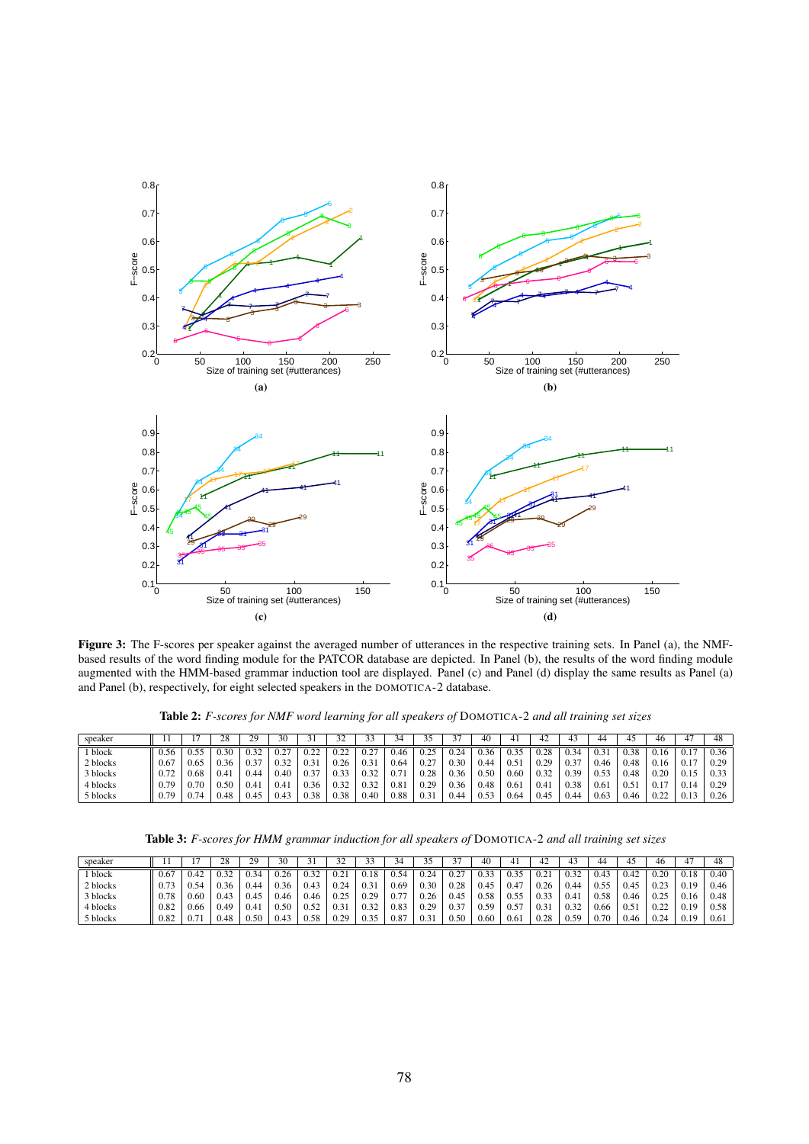

Figure 3: The F-scores per speaker against the averaged number of utterances in the respective training sets. In Panel (a), the NMFbased results of the word finding module for the PATCOR database are depicted. In Panel (b), the results of the word finding module augmented with the HMM-based grammar induction tool are displayed. Panel (c) and Panel (d) display the same results as Panel (a) and Panel (b), respectively, for eight selected speakers in the DOMOTICA-2 database.

Table 2: *F-scores for NMF word learning for all speakers of* DOMOTICA-2 *and all training set sizes*

| speaker  |      |      | $\gamma$<br>zŏ | 29   | 30             | ч<br>ر ر | 27             |             | 34    |      |        | 40   | 4             | -4   | 43   |      | 45   | 46           |             | 48   |
|----------|------|------|----------------|------|----------------|----------|----------------|-------------|-------|------|--------|------|---------------|------|------|------|------|--------------|-------------|------|
| block    | 0.56 | . 55 | 0.30           | 0.32 | . 0.27.<br>◡.∠ | ሰ ንን     | $\mathbf{122}$ | 0.27<br>. . | 0.46  | 0.25 | $\sim$ | 0.36 | 0.35          | በ ንዩ | 0.34 |      | 0.38 | J.1⊳         |             | 0.36 |
| 2 blocks | 0.67 | 0.65 | 0.36           | 0.37 | 0.32           | 0.31     | 0.26           | 0.3         | 0.64  | 0.27 | 0.3C   | 0.44 | $0.5^{\circ}$ | 0.29 | 0.37 | 0.46 | 0.48 |              |             | 0.29 |
| 3 blocks |      | 0.68 | 0.4            | 0.44 | 0.40           | 0.37     | 0.33           | 0.32        | 0.7   | 0.28 | 0.36   | 0.50 | 0.60          | 0.32 | 0.39 | 0.53 | 0.48 | 0.20         | v. i J      | 0.33 |
| 4 blocks | 0.79 | 70   | 0.50           | 0.41 | 0.41           | 0.36     | 0.32           | 0.32        | (0.8) | 0.29 | 0.36   | 0.48 | 0.61          | 0.4  | 0.38 | 0.61 |      | V. I         | 0.14        | 0.29 |
| 5 blocks | 0.79 |      | 0.48           | 0.45 | 0.43           | 0.38     | 0.38           | 0.40        | 0.88  | 0.31 |        | 0.53 | 0.64          | 0.45 | 0.44 | 0.63 | 0.46 | 0.22<br>v.∠∠ | <u>v.t.</u> | 0.26 |

Table 3: *F-scores for HMM grammar induction for all speakers of* DOMOTICA-2 *and all training set sizes*

| speaker  | . .  |      | $\gamma$<br>zŏ | 29   | 30   | $\ddot{\phantom{1}}$<br>ر ر | 27<br>ے ر | -          | 34                              | ر. ر | ╯      | 40   | 4    | $\sim$                | 43        | 44   | 45            | 46               |            | 48   |
|----------|------|------|----------------|------|------|-----------------------------|-----------|------------|---------------------------------|------|--------|------|------|-----------------------|-----------|------|---------------|------------------|------------|------|
| block    | 0.67 |      | 0.32           | 0.34 | 0.26 | 0.32                        |           |            | 0.54                            | 0.24 |        | 0.33 | 0.35 | 02<br>$v_{\cdot}$     | 0.32      | V.4. | ے4∴'          | 0.2C             |            | 0.40 |
| 2 blocks | 0.77 |      | 0.36           | 0.44 | 0.36 | 0.43                        | 0.24      | 0.3        | 0.69                            | 0.30 | 0.28   | 0.45 | 0.47 | 0.26                  | 0.44      | 0.55 | $0.4^{\circ}$ | $02^{\circ}$<br> | 19<br>V.I. | 0.46 |
| 3 blocks | 0.78 | 0.60 | 0.43           | 0.45 | 0.46 | 0.46                        | 0.25      | 20<br>ے ۔  | $\overline{\phantom{a}}$<br>0.7 | 0.26 | 0.45   | 0.58 | 0.55 | በ 33<br>v. <i>.</i> . | $0.4^{°}$ | 0.58 | 0.46          | 0.25<br>ت که با  | 0.16       | 0.48 |
| 4 blocks | 0.82 | 0.66 | 0.49           | 0.41 | 0.50 | 0.52                        | 0.31      | J.32       | 0.83                            | 0.29 | $\sim$ | 0.59 | 0.57 | 0.31                  | 0.32      | 0.66 | v.J           | 0.22<br><i></i>  | 0.19       | 0.58 |
| 5 blocks | 0.82 |      | 0.48           | 0.50 | U.4. | 0.58                        | 0.29      | 35<br>ັບມີ | 0.87                            | 0.31 | 5٢،    | 0.60 | 0.61 | 28                    | 0.59      | 0.70 | 1.46          | 0.24             | 19         | 0.61 |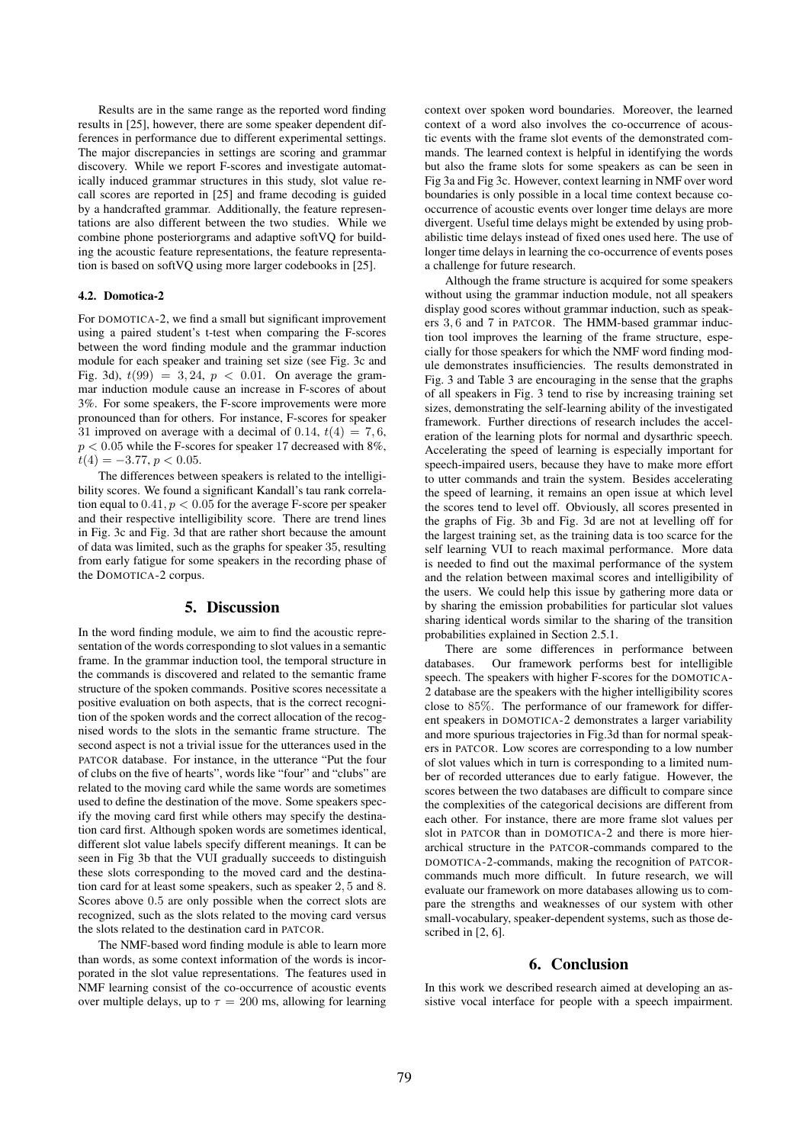Results are in the same range as the reported word finding results in [25], however, there are some speaker dependent differences in performance due to different experimental settings. The major discrepancies in settings are scoring and grammar discovery. While we report F-scores and investigate automatically induced grammar structures in this study, slot value recall scores are reported in [25] and frame decoding is guided by a handcrafted grammar. Additionally, the feature representations are also different between the two studies. While we combine phone posteriorgrams and adaptive softVQ for building the acoustic feature representations, the feature representation is based on softVQ using more larger codebooks in [25].

#### 4.2. Domotica-2

For DOMOTICA-2, we find a small but significant improvement using a paired student's t-test when comparing the F-scores between the word finding module and the grammar induction module for each speaker and training set size (see Fig. 3c and Fig. 3d),  $t(99) = 3, 24, p < 0.01$ . On average the grammar induction module cause an increase in F-scores of about 3%. For some speakers, the F-score improvements were more pronounced than for others. For instance, F-scores for speaker 31 improved on average with a decimal of 0.14,  $t(4) = 7, 6$ ,  $p < 0.05$  while the F-scores for speaker 17 decreased with 8%,  $t(4) = -3.77, p < 0.05.$ 

The differences between speakers is related to the intelligibility scores. We found a significant Kandall's tau rank correlation equal to  $0.41$ ,  $p < 0.05$  for the average F-score per speaker and their respective intelligibility score. There are trend lines in Fig. 3c and Fig. 3d that are rather short because the amount of data was limited, such as the graphs for speaker 35, resulting from early fatigue for some speakers in the recording phase of the DOMOTICA-2 corpus.

## 5. Discussion

In the word finding module, we aim to find the acoustic representation of the words corresponding to slot values in a semantic frame. In the grammar induction tool, the temporal structure in the commands is discovered and related to the semantic frame structure of the spoken commands. Positive scores necessitate a positive evaluation on both aspects, that is the correct recognition of the spoken words and the correct allocation of the recognised words to the slots in the semantic frame structure. The second aspect is not a trivial issue for the utterances used in the PATCOR database. For instance, in the utterance "Put the four of clubs on the five of hearts", words like "four" and "clubs" are related to the moving card while the same words are sometimes used to define the destination of the move. Some speakers specify the moving card first while others may specify the destination card first. Although spoken words are sometimes identical, different slot value labels specify different meanings. It can be seen in Fig 3b that the VUI gradually succeeds to distinguish these slots corresponding to the moved card and the destination card for at least some speakers, such as speaker 2, 5 and 8. Scores above  $0.5$  are only possible when the correct slots are recognized, such as the slots related to the moving card versus the slots related to the destination card in PATCOR.

The NMF-based word finding module is able to learn more than words, as some context information of the words is incorporated in the slot value representations. The features used in NMF learning consist of the co-occurrence of acoustic events over multiple delays, up to  $\tau = 200$  ms, allowing for learning context over spoken word boundaries. Moreover, the learned context of a word also involves the co-occurrence of acoustic events with the frame slot events of the demonstrated commands. The learned context is helpful in identifying the words but also the frame slots for some speakers as can be seen in Fig 3a and Fig 3c. However, context learning in NMF over word boundaries is only possible in a local time context because cooccurrence of acoustic events over longer time delays are more divergent. Useful time delays might be extended by using probabilistic time delays instead of fixed ones used here. The use of longer time delays in learning the co-occurrence of events poses a challenge for future research.

Although the frame structure is acquired for some speakers without using the grammar induction module, not all speakers display good scores without grammar induction, such as speakers 3, 6 and 7 in PATCOR. The HMM-based grammar induction tool improves the learning of the frame structure, especially for those speakers for which the NMF word finding module demonstrates insufficiencies. The results demonstrated in Fig. 3 and Table 3 are encouraging in the sense that the graphs of all speakers in Fig. 3 tend to rise by increasing training set sizes, demonstrating the self-learning ability of the investigated framework. Further directions of research includes the acceleration of the learning plots for normal and dysarthric speech. Accelerating the speed of learning is especially important for speech-impaired users, because they have to make more effort to utter commands and train the system. Besides accelerating the speed of learning, it remains an open issue at which level the scores tend to level off. Obviously, all scores presented in the graphs of Fig. 3b and Fig. 3d are not at levelling off for the largest training set, as the training data is too scarce for the self learning VUI to reach maximal performance. More data is needed to find out the maximal performance of the system and the relation between maximal scores and intelligibility of the users. We could help this issue by gathering more data or by sharing the emission probabilities for particular slot values sharing identical words similar to the sharing of the transition probabilities explained in Section 2.5.1.

There are some differences in performance between databases. Our framework performs best for intelligible speech. The speakers with higher F-scores for the DOMOTICA-2 database are the speakers with the higher intelligibility scores close to 85%. The performance of our framework for different speakers in DOMOTICA-2 demonstrates a larger variability and more spurious trajectories in Fig.3d than for normal speakers in PATCOR. Low scores are corresponding to a low number of slot values which in turn is corresponding to a limited number of recorded utterances due to early fatigue. However, the scores between the two databases are difficult to compare since the complexities of the categorical decisions are different from each other. For instance, there are more frame slot values per slot in PATCOR than in DOMOTICA-2 and there is more hierarchical structure in the PATCOR-commands compared to the DOMOTICA-2-commands, making the recognition of PATCORcommands much more difficult. In future research, we will evaluate our framework on more databases allowing us to compare the strengths and weaknesses of our system with other small-vocabulary, speaker-dependent systems, such as those described in [2, 6].

## 6. Conclusion

In this work we described research aimed at developing an assistive vocal interface for people with a speech impairment.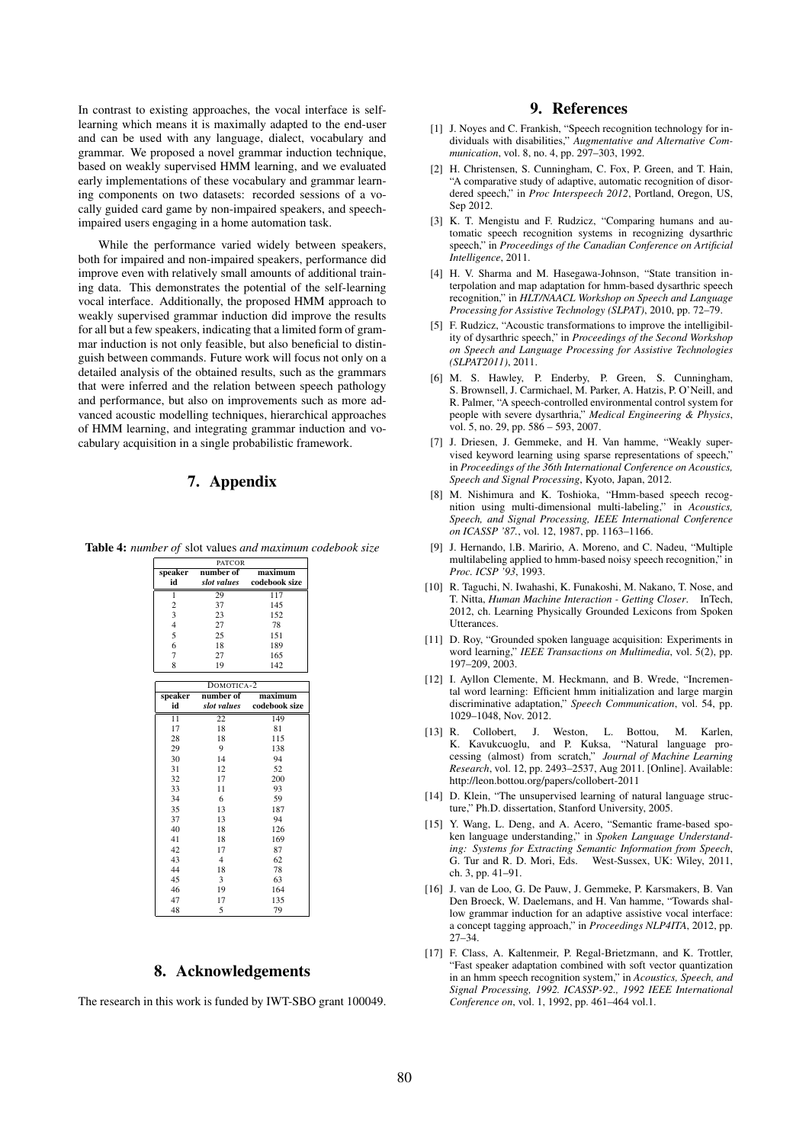In contrast to existing approaches, the vocal interface is selflearning which means it is maximally adapted to the end-user and can be used with any language, dialect, vocabulary and grammar. We proposed a novel grammar induction technique, based on weakly supervised HMM learning, and we evaluated early implementations of these vocabulary and grammar learning components on two datasets: recorded sessions of a vocally guided card game by non-impaired speakers, and speechimpaired users engaging in a home automation task.

While the performance varied widely between speakers, both for impaired and non-impaired speakers, performance did improve even with relatively small amounts of additional training data. This demonstrates the potential of the self-learning vocal interface. Additionally, the proposed HMM approach to weakly supervised grammar induction did improve the results for all but a few speakers, indicating that a limited form of grammar induction is not only feasible, but also beneficial to distinguish between commands. Future work will focus not only on a detailed analysis of the obtained results, such as the grammars that were inferred and the relation between speech pathology and performance, but also on improvements such as more advanced acoustic modelling techniques, hierarchical approaches of HMM learning, and integrating grammar induction and vocabulary acquisition in a single probabilistic framework.

## 7. Appendix

Table 4: *number of* slot values *and maximum codebook size*

| <b>PATCOR</b>           |                |                  |  |  |  |  |  |  |
|-------------------------|----------------|------------------|--|--|--|--|--|--|
| speaker                 | number of      | maximum          |  |  |  |  |  |  |
| id                      | slot values    | codebook size    |  |  |  |  |  |  |
| ī                       | 29             | $\overline{117}$ |  |  |  |  |  |  |
| $\overline{c}$          | 37             | 145              |  |  |  |  |  |  |
| $\overline{\mathbf{3}}$ | 23             | 152              |  |  |  |  |  |  |
| $\overline{4}$          | 27             | 78               |  |  |  |  |  |  |
| 5                       | 25             | 151              |  |  |  |  |  |  |
| 6                       | 18             | 189              |  |  |  |  |  |  |
| $\overline{7}$          | 27             | 165              |  |  |  |  |  |  |
| 8                       | 19             | 142              |  |  |  |  |  |  |
|                         | DOMOTICA-2     |                  |  |  |  |  |  |  |
| speaker                 | number of      | maximum          |  |  |  |  |  |  |
| id                      | slot values    | codebook size    |  |  |  |  |  |  |
| $\overline{11}$         | 22             | 149              |  |  |  |  |  |  |
| 17                      | 18             | 81               |  |  |  |  |  |  |
| 28                      | 18             | 115              |  |  |  |  |  |  |
| 29                      | 9              | 138              |  |  |  |  |  |  |
| 30                      | 14             | 94               |  |  |  |  |  |  |
| 31                      | 12             | 52               |  |  |  |  |  |  |
| 32                      | 17             | 200              |  |  |  |  |  |  |
| 33                      | 11             | 93               |  |  |  |  |  |  |
| 34                      | 6              | 59               |  |  |  |  |  |  |
| 35                      | 13             | 187              |  |  |  |  |  |  |
| 37                      | 13             | 94               |  |  |  |  |  |  |
| 40                      | 18             | 126              |  |  |  |  |  |  |
| 41                      | 18             | 169              |  |  |  |  |  |  |
| 42                      | 17             | 87               |  |  |  |  |  |  |
| 43                      | $\overline{4}$ | 62               |  |  |  |  |  |  |
| 44                      | 18             | 78               |  |  |  |  |  |  |
| 45                      | 3              | 63               |  |  |  |  |  |  |
| 46                      | 19             | 164              |  |  |  |  |  |  |
| 47                      | 17             | 135              |  |  |  |  |  |  |
| 48                      | 5              | 79               |  |  |  |  |  |  |

## 8. Acknowledgements

The research in this work is funded by IWT-SBO grant 100049.

## 9. References

- [1] J. Noyes and C. Frankish, "Speech recognition technology for individuals with disabilities," *Augmentative and Alternative Communication*, vol. 8, no. 4, pp. 297–303, 1992.
- [2] H. Christensen, S. Cunningham, C. Fox, P. Green, and T. Hain, "A comparative study of adaptive, automatic recognition of disordered speech," in *Proc Interspeech 2012*, Portland, Oregon, US, Sep 2012.
- [3] K. T. Mengistu and F. Rudzicz, "Comparing humans and automatic speech recognition systems in recognizing dysarthric speech," in *Proceedings of the Canadian Conference on Artificial Intelligence*, 2011.
- [4] H. V. Sharma and M. Hasegawa-Johnson, "State transition interpolation and map adaptation for hmm-based dysarthric speech recognition," in *HLT/NAACL Workshop on Speech and Language Processing for Assistive Technology (SLPAT)*, 2010, pp. 72–79.
- [5] F. Rudzicz, "Acoustic transformations to improve the intelligibility of dysarthric speech," in *Proceedings of the Second Workshop on Speech and Language Processing for Assistive Technologies (SLPAT2011)*, 2011.
- [6] M. S. Hawley, P. Enderby, P. Green, S. Cunningham, S. Brownsell, J. Carmichael, M. Parker, A. Hatzis, P. O'Neill, and R. Palmer, "A speech-controlled environmental control system for people with severe dysarthria," *Medical Engineering & Physics*, vol. 5, no. 29, pp. 586 – 593, 2007.
- [7] J. Driesen, J. Gemmeke, and H. Van hamme, "Weakly supervised keyword learning using sparse representations of speech," in *Proceedings of the 36th International Conference on Acoustics, Speech and Signal Processing*, Kyoto, Japan, 2012.
- [8] M. Nishimura and K. Toshioka, "Hmm-based speech recognition using multi-dimensional multi-labeling," in *Acoustics, Speech, and Signal Processing, IEEE International Conference on ICASSP '87.*, vol. 12, 1987, pp. 1163–1166.
- [9] J. Hernando, l.B. Maririo, A. Moreno, and C. Nadeu, "Multiple multilabeling applied to hmm-based noisy speech recognition," in *Proc. ICSP '93*, 1993.
- [10] R. Taguchi, N. Iwahashi, K. Funakoshi, M. Nakano, T. Nose, and T. Nitta, *Human Machine Interaction - Getting Closer*. InTech, 2012, ch. Learning Physically Grounded Lexicons from Spoken **Utterances**
- [11] D. Roy, "Grounded spoken language acquisition: Experiments in word learning," *IEEE Transactions on Multimedia*, vol. 5(2), pp. 197–209, 2003.
- [12] I. Ayllon Clemente, M. Heckmann, and B. Wrede, "Incremental word learning: Efficient hmm initialization and large margin discriminative adaptation," *Speech Communication*, vol. 54, pp. 1029–1048, Nov. 2012.
- [13] R. Collobert, J. Weston, L. Bottou, M. Karlen, K. Kavukcuoglu, and P. Kuksa, "Natural language processing (almost) from scratch," *Journal of Machine Learning Research*, vol. 12, pp. 2493–2537, Aug 2011. [Online]. Available: http://leon.bottou.org/papers/collobert-2011
- [14] D. Klein, "The unsupervised learning of natural language structure," Ph.D. dissertation, Stanford University, 2005.
- [15] Y. Wang, L. Deng, and A. Acero, "Semantic frame-based spoken language understanding," in *Spoken Language Understanding: Systems for Extracting Semantic Information from Speech*, G. Tur and R. D. Mori, Eds. West-Sussex, UK: Wiley, 2011, ch. 3, pp. 41–91.
- [16] J. van de Loo, G. De Pauw, J. Gemmeke, P. Karsmakers, B. Van Den Broeck, W. Daelemans, and H. Van hamme, "Towards shallow grammar induction for an adaptive assistive vocal interface: a concept tagging approach," in *Proceedings NLP4ITA*, 2012, pp. 27–34.
- [17] F. Class, A. Kaltenmeir, P. Regal-Brietzmann, and K. Trottler, "Fast speaker adaptation combined with soft vector quantization in an hmm speech recognition system," in *Acoustics*, *Speech, and Signal Processing, 1992. ICASSP-92., 1992 IEEE International Conference on*, vol. 1, 1992, pp. 461–464 vol.1.